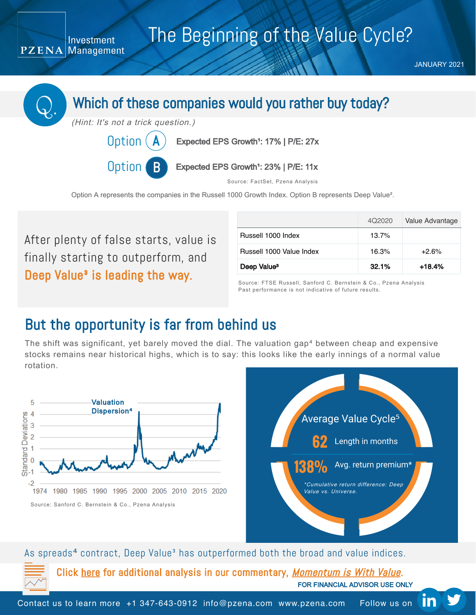Investment PZENA Management

## The Beginning of the Value Cycle?

JANUARY 2021



After plenty of false starts, value is finally starting to outperform, and Deep Value<sup>3</sup> is leading the way.

|                          | 4Q2020 | Value Advantage |
|--------------------------|--------|-----------------|
| Russell 1000 Index       | 13.7%  |                 |
| Russell 1000 Value Index | 16.3%  | $+2.6%$         |
| Deep Value <sup>3</sup>  | 32.1%  | +18.4%          |

Source: FTSE Russell, Sanford C. Bernstein & Co., Pzena Analysis Past performance is not indicative of future results.

## But the opportunity is far from behind us

The shift was significant, yet barely moved the dial. The valuation gap<sup>4</sup> between cheap and expensive stocks remains near historical highs, which is to say: this looks like the early innings of a normal value rotation.





FOR FINANCIAL ADVISOR USE ONLY As spreads<sup>4</sup> contract, Deep Value<sup>3</sup> has outperformed both the broad and value indices. Click [here](https://www.pzena.com/momentum-is-with-value/) for additional analysis in our commentary, [Momentum](https://www.pzena.com/momentum-is-with-value/) is With Value.